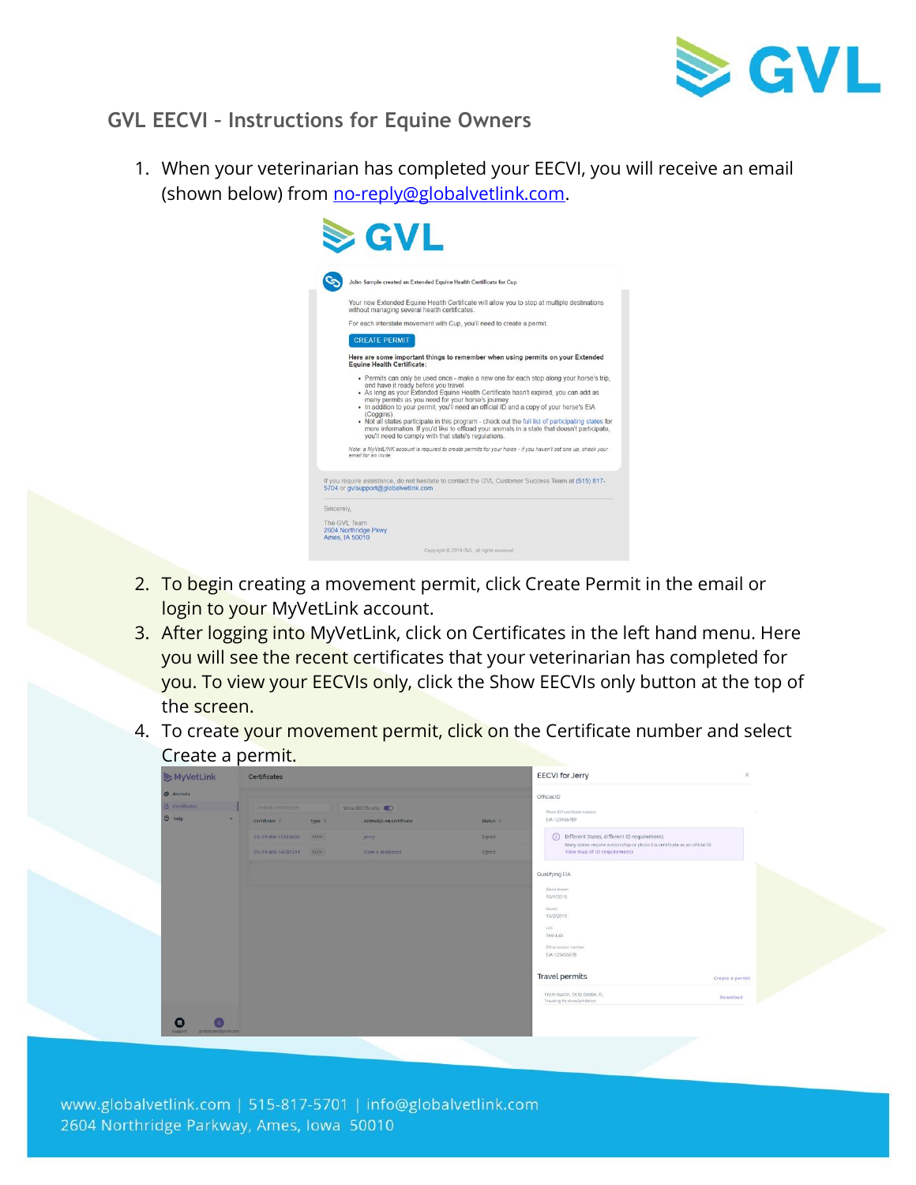

## **GVL EECVI – Instructions for Equine Owners**

1. When your veterinarian has completed your EECVI, you will receive an email (shown below) from [no-reply@globalvetlink.com.](mailto:no-reply@globalvetlink.com)



- 2. To begin creating a movement permit, click Create Permit in the email or login to your MyVetLink account.
- 3. After logging into MyVetLink, click on Certificates in the left hand menu. Here you will see the recent certificates that your veterinarian has completed for you. To view your EECVIs only, click the Show EECVIs only button at the top of the screen.
- 4. To create your movement permit, click on the Certificate number and select Create a permit.

| MyVetLink             | Certificates           |        |                          |               | <b>EECVI</b> for Jerry                                                                                    | $\times$          |
|-----------------------|------------------------|--------|--------------------------|---------------|-----------------------------------------------------------------------------------------------------------|-------------------|
| <b>P</b> Animals      |                        |        |                          |               | Official ID                                                                                               |                   |
| <b>B</b> Certificates | Search certificates    |        | Show EECVIsionly         |               | Photo EIA cortificate number                                                                              | <b>COLLECTION</b> |
| $①$ Help<br>$\sim$    | Certificate #          | Type : | Animal(s) on certificate | Status =      | EIA-123456789                                                                                             |                   |
|                       | EG-19-WA-15133035 EECH |        | Jerry                    | Signed        | (i) Different States, different ID requirements                                                           |                   |
|                       | EG-19-MN-14707311 EECH |        | Slow a Molasses          | <b>Signed</b> | Many states require a microchip or photo EIA certificate as an official ID<br>View map of ID requirements |                   |
|                       | $\sim$                 |        |                          |               |                                                                                                           |                   |
|                       |                        |        |                          |               | Qualifying EIA                                                                                            |                   |
|                       |                        |        |                          |               | Ellood drawn<br>10/1/2019                                                                                 |                   |
|                       |                        |        |                          |               | <b>Sesued</b>                                                                                             |                   |
|                       |                        |        |                          |               | 10/2/2019                                                                                                 |                   |
|                       |                        |        |                          |               | Lab<br>Test Lab                                                                                           |                   |
|                       |                        |        |                          |               | EIA accession number                                                                                      |                   |
|                       |                        |        |                          |               | EIA-123455678                                                                                             |                   |
|                       |                        |        |                          |               | Travel permits<br>Create a permit                                                                         |                   |
|                       |                        |        |                          |               | From Austin, TX to Destin, FL<br>Download<br>Traveling for show/exhibition                                |                   |
| 周                     |                        |        |                          |               |                                                                                                           |                   |

www.globalvetlink.com | 515-817-5701 | info@globalvetlink.com 2604 Northridge Parkway, Ames, Iowa 50010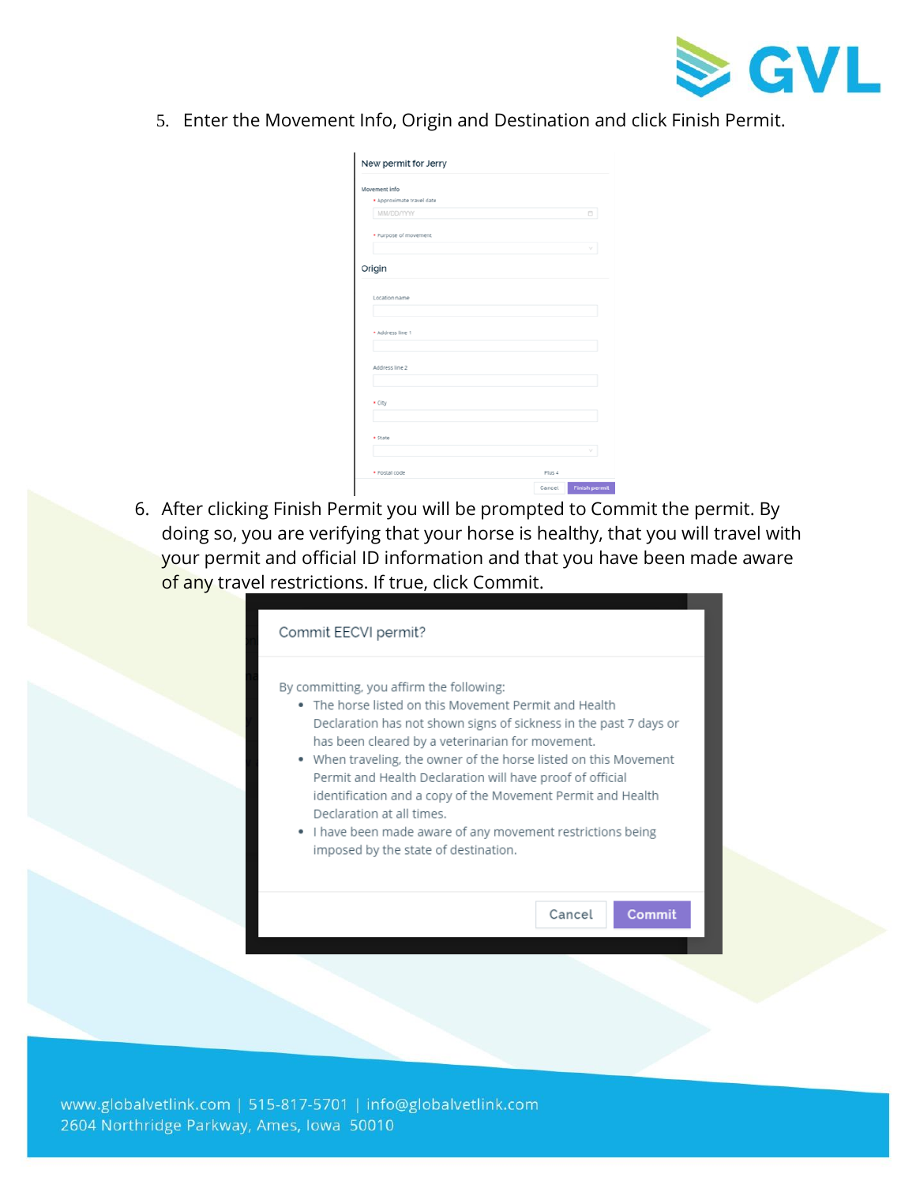

5. Enter the Movement Info, Origin and Destination and click Finish Permit.

| New permit for Jerry      |        |                      |
|---------------------------|--------|----------------------|
| Movement info             |        |                      |
| · Approximate travel date |        |                      |
| <b>MM/DD/YYYY</b>         |        | 6                    |
| * Purpose of movement     |        |                      |
|                           |        | v                    |
| Origin                    |        |                      |
| Location name             |        |                      |
| * Address line 1          |        |                      |
| Address line 2            |        |                      |
| * City                    |        |                      |
| * State                   |        | ν                    |
| * Postal code             | Plus 4 |                      |
|                           | Cancel | <b>Finish permit</b> |

6. After clicking Finish Permit you will be prompted to Commit the permit. By doing so, you are verifying that your horse is healthy, that you will travel with your permit and official ID information and that you have been made aware of any travel restrictions. If true, click Commit.

| Commit EECVI permit?                                                                                                                                                                                                                                                                                                                                                                                                                                                                                                                                           |        |        |  |  |  |  |
|----------------------------------------------------------------------------------------------------------------------------------------------------------------------------------------------------------------------------------------------------------------------------------------------------------------------------------------------------------------------------------------------------------------------------------------------------------------------------------------------------------------------------------------------------------------|--------|--------|--|--|--|--|
| By committing, you affirm the following:<br>• The horse listed on this Movement Permit and Health<br>Declaration has not shown signs of sickness in the past 7 days or<br>has been cleared by a veterinarian for movement.<br>• When traveling, the owner of the horse listed on this Movement<br>Permit and Health Declaration will have proof of official<br>identification and a copy of the Movement Permit and Health<br>Declaration at all times.<br>• I have been made aware of any movement restrictions being<br>imposed by the state of destination. |        |        |  |  |  |  |
|                                                                                                                                                                                                                                                                                                                                                                                                                                                                                                                                                                | Cancel | Commit |  |  |  |  |
|                                                                                                                                                                                                                                                                                                                                                                                                                                                                                                                                                                |        |        |  |  |  |  |

www.globalvetlink.com | 515-817-5701 | info@globalvetlink.com 2604 Northridge Parkway, Ames, Iowa 50010